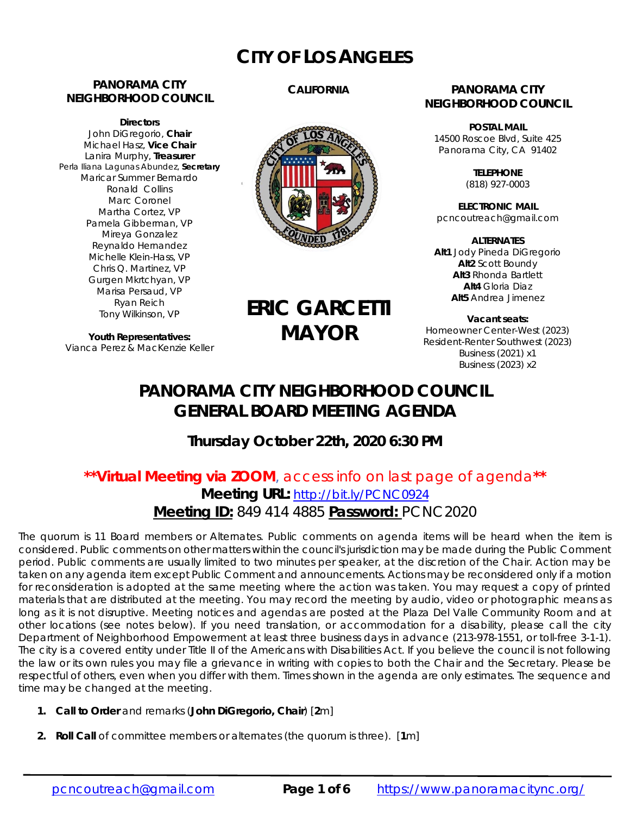## **CITY OF LOS ANGELES**

#### **PANORAMA CITY NEIGHBORHOOD COUNCIL**

**Directors**  John DiGregorio, **Chair** Michael Hasz, **Vice Chair** Lanira Murphy, **Treasurer** Perla Iliana Lagunas Abundez, **Secretary** Maricar Summer Bernardo Ronald Collins Marc Coronel Martha Cortez, VP Pamela Gibberman, VP Mireya Gonzalez Reynaldo Hernandez Michelle Klein-Hass, VP Chris Q. Martinez, VP Gurgen Mkrtchyan, VP Marisa Persaud, VP Ryan Reich Tony Wilkinson, VP

**Youth Representatives:**  Vianca Perez & MacKenzie Keller

#### **CALIFORNIA**



# **ERIC GARCETTI MAYOR**

#### **PANORAMA CITY NEIGHBORHOOD COUNCIL**

**POSTAL MAIL** 14500 Roscoe Blvd, Suite 425 Panorama City, CA 91402

> **TELEPHONE** (818) 927-0003

**ELECTRONIC MAIL** pcncoutreach@gmail.com

**ALTERNATES Alt1** Jody Pineda DiGregorio **Alt2** Scott Boundy **Alt3** Rhonda Bartlett **Alt4** Gloria Diaz **Alt5** Andrea Jimenez

**Vacant seats:**  Homeowner Center-West (2023) Resident-Renter Southwest (2023) Business (2021) x1 Business (2023) x2

## **PANORAMA CITY NEIGHBORHOOD COUNCIL GENERAL BOARD MEETING AGENDA**

### **Thursday October 22th, 2020 6:30 PM**

### **\*\*Virtual Meeting via ZOOM**, access info on last page of agenda**\*\* Meeting URL:** http://bit.ly/PCNC0924 **Meeting ID:** 849 414 4885 **Password:** PCNC2020

The quorum is 11 Board members or Alternates. Public comments on agenda items will be heard when the item is considered. Public comments on other matters within the council's jurisdiction may be made during the Public Comment period. Public comments are usually limited to two minutes per speaker, at the discretion of the Chair. Action may be taken on any agenda item except Public Comment and announcements. Actions may be reconsidered only if a motion for reconsideration is adopted at the same meeting where the action was taken. You may request a copy of printed materials that are distributed at the meeting. You may record the meeting by audio, video or photographic means as long as it is not disruptive. Meeting notices and agendas are posted at the Plaza Del Valle Community Room and at other locations (see notes below). If you need translation, or accommodation for a disability, please call the city Department of Neighborhood Empowerment at least three business days in advance (213-978-1551, or toll-free 3-1-1). The city is a covered entity under Title II of the Americans with Disabilities Act. If you believe the council is not following the law or its own rules you may file a grievance in writing with copies to both the Chair and the Secretary. Please be respectful of others, even when you differ with them. Times shown in the agenda are only estimates. The sequence and time may be changed at the meeting.

- **1. Call to Order** and remarks (*John DiGregorio***, Chair**) [**2**m]
- **2. Roll Call** of committee members or alternates (the quorum is three). [**1**m]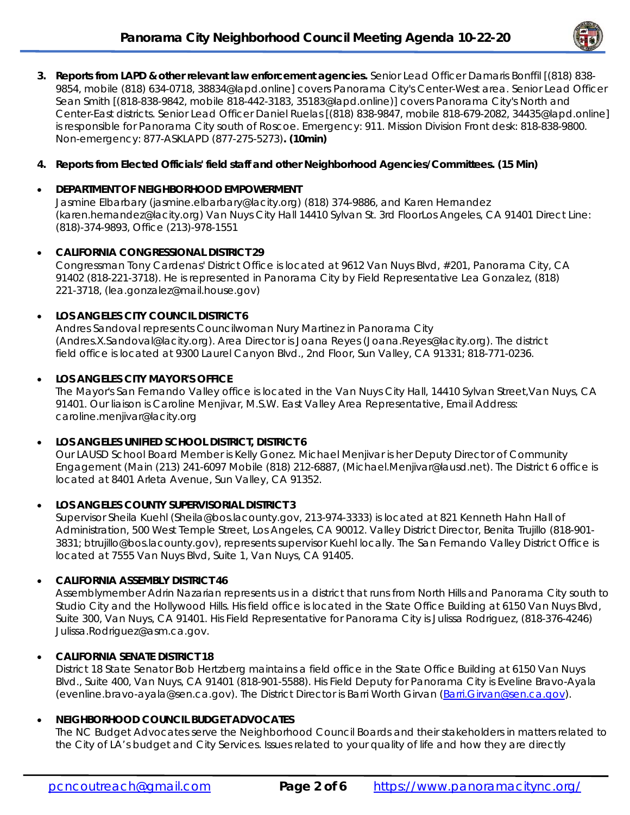

**3. Reports from LAPD & other relevant law enforcement agencies.** Senior Lead Officer Damaris Bonffil [(818) 838- 9854, mobile (818) 634-0718, 38834@lapd.online] covers Panorama City's Center-West area. Senior Lead Officer Sean Smith [(818-838-9842, mobile 818-442-3183, 35183@lapd.online)] covers Panorama City's North and Center-East districts. Senior Lead Officer Daniel Ruelas [(818) 838-9847, mobile 818-679-2082, 34435@lapd.online] is responsible for Panorama City south of Roscoe. Emergency: 911. Mission Division Front desk: 818-838-9800. Non-emergency: 877-ASKLAPD (877-275-5273)**. (10min)**

#### **4. Reports from Elected Officials' field staff and other Neighborhood Agencies/Committees. (15 Min)**

#### **DEPARTMENT OF NEIGHBORHOOD EMPOWERMENT**

Jasmine Elbarbary (jasmine.elbarbary@lacity.org) (818) 374-9886, and Karen Hernandez (karen.hernandez@lacity.org) Van Nuys City Hall 14410 Sylvan St. 3rd FloorLos Angeles, CA 91401 Direct Line: (818)-374-9893, Office (213)-978-1551

#### **CALIFORNIA CONGRESSIONAL DISTRICT 29**

Congressman Tony Cardenas' District Office is located at 9612 Van Nuys Blvd, #201, Panorama City, CA 91402 (818-221-3718). He is represented in Panorama City by Field Representative Lea Gonzalez, (818) 221-3718, (lea.gonzalez@mail.house.gov)

#### **LOS ANGELES CITY COUNCIL DISTRICT 6**

Andres Sandoval represents Councilwoman Nury Martinez in Panorama City (Andres.X.Sandoval@lacity.org). Area Director is Joana Reyes (Joana.Reyes@lacity.org). The district field office is located at 9300 Laurel Canyon Blvd., 2nd Floor, Sun Valley, CA 91331; 818-771-0236.

#### **LOS ANGELES CITY MAYOR'S OFFICE**

The Mayor's San Fernando Valley office is located in the Van Nuys City Hall, 14410 Sylvan Street,Van Nuys, CA 91401. Our liaison is Caroline Menjivar, M.S.W. East Valley Area Representative, Email Address: caroline.menjivar@lacity.org

#### **LOS ANGELES UNIFIED SCHOOL DISTRICT, DISTRICT 6**

Our LAUSD School Board Member is Kelly Gonez. Michael Menjivar is her Deputy Director of Community Engagement (Main (213) 241-6097 Mobile (818) 212-6887, (Michael.Menjivar@lausd.net). The District 6 office is located at 8401 Arleta Avenue, Sun Valley, CA 91352.

#### **LOS ANGELES COUNTY SUPERVISORIAL DISTRICT 3**

Supervisor Sheila Kuehl (Sheila@bos.lacounty.gov, 213-974-3333) is located at 821 Kenneth Hahn Hall of Administration, 500 West Temple Street, Los Angeles, CA 90012. Valley District Director, Benita Trujillo (818-901- 3831; btrujillo@bos.lacounty.gov), represents supervisor Kuehl locally. The San Fernando Valley District Office is located at 7555 Van Nuys Blvd, Suite 1, Van Nuys, CA 91405.

#### **CALIFORNIA ASSEMBLY DISTRICT 46**

Assemblymember Adrin Nazarian represents us in a district that runs from North Hills and Panorama City south to Studio City and the Hollywood Hills. His field office is located in the State Office Building at 6150 Van Nuys Blvd, Suite 300, Van Nuys, CA 91401. His Field Representative for Panorama City is Julissa Rodriguez, (818-376-4246) Julissa.Rodriguez@asm.ca.gov.

#### **CALIFORNIA SENATE DISTRICT 18**

District 18 State Senator Bob Hertzberg maintains a field office in the State Office Building at 6150 Van Nuys Blvd., Suite 400, Van Nuys, CA 91401 (818-901-5588). His Field Deputy for Panorama City is Eveline Bravo-Ayala (evenline.bravo-ayala@sen.ca.gov). The District Director is Barri Worth Girvan (Barri.Girvan@sen.ca.gov).

#### **NEIGHBORHOOD COUNCIL BUDGET ADVOCATES**

The NC Budget Advocates serve the Neighborhood Council Boards and their stakeholders in matters related to the City of LA's budget and City Services. Issues related to your quality of life and how they are directly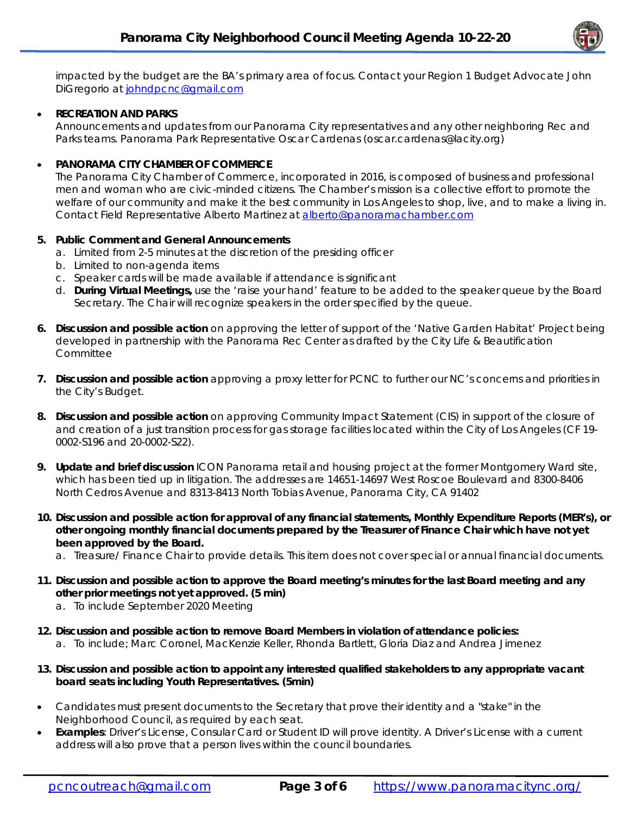

impacted by the budget are the BA's primary area of focus. Contact your Region 1 Budget Advocate John DiGregorio at johndpcnc@gmail.com

#### **RECREATION AND PARKS**

Announcements and updates from our Panorama City representatives and any other neighboring Rec and Parks teams. Panorama Park Representative Oscar Cardenas (oscar.cardenas@lacity.org)

#### **PANORAMA CITY CHAMBER OF COMMERCE**

The Panorama City Chamber of Commerce, incorporated in 2016, is composed of business and professional men and woman who are civic-minded citizens. The Chamber's mission is a collective effort to promote the welfare of our community and make it the best community in Los Angeles to shop, live, and to make a living in. Contact Field Representative Alberto Martinez at alberto@panoramachamber.com

#### **5. Public Comment and General Announcements**

- a. Limited from 2-5 minutes at the discretion of the presiding officer
- b. Limited to non-agenda items
- c. Speaker cards will be made available if attendance is significant
- d. **During Virtual Meetings,** use the 'raise your hand' feature to be added to the speaker queue by the Board Secretary. The Chair will recognize speakers in the order specified by the queue.
- **6. Discussion and possible action** on approving the letter of support of the 'Native Garden Habitat' Project being developed in partnership with the Panorama Rec Center as drafted by the City Life & Beautification **Committee**
- **7. Discussion and possible action** approving a proxy letter for PCNC to further our NC's concerns and priorities in the City's Budget.
- **8. Discussion and possible action** on approving Community Impact Statement (CIS) in support of the closure of and creation of a just transition process for gas storage facilities located within the City of Los Angeles (CF 19- 0002-S196 and 20-0002-S22).
- **9. Update and brief discussion** ICON Panorama retail and housing project at the former Montgomery Ward site, which has been tied up in litigation. The addresses are 14651-14697 West Roscoe Boulevard and 8300-8406 North Cedros Avenue and 8313-8413 North Tobias Avenue, Panorama City, CA 91402
- **10. Discussion and possible action for approval of any financial statements, Monthly Expenditure Reports (MER's), or other ongoing monthly financial documents prepared by the Treasurer of Finance Chair which have not yet been approved by the Board.** 
	- a. Treasure/ Finance Chair to provide details. This item does not cover special or annual financial documents.
- **11. Discussion and possible action to approve the Board meeting's minutes for the last Board meeting and any other prior meetings not yet approved. (5 min)** 
	- a. To include September 2020 Meeting
- **12. Discussion and possible action to remove Board Members in violation of attendance policies:**  a. To include; Marc Coronel, MacKenzie Keller, Rhonda Bartlett, Gloria Diaz and Andrea Jimenez
- **13. Discussion and possible action to appoint any interested qualified stakeholders to any appropriate vacant board seats including Youth Representatives. (5min)**
- Candidates must present documents to the Secretary that prove their identity and a "stake" in the Neighborhood Council, as required by each seat.
- **Examples**: Driver's License, Consular Card or Student ID will prove identity. A Driver's License with a current address will also prove that a person lives within the council boundaries.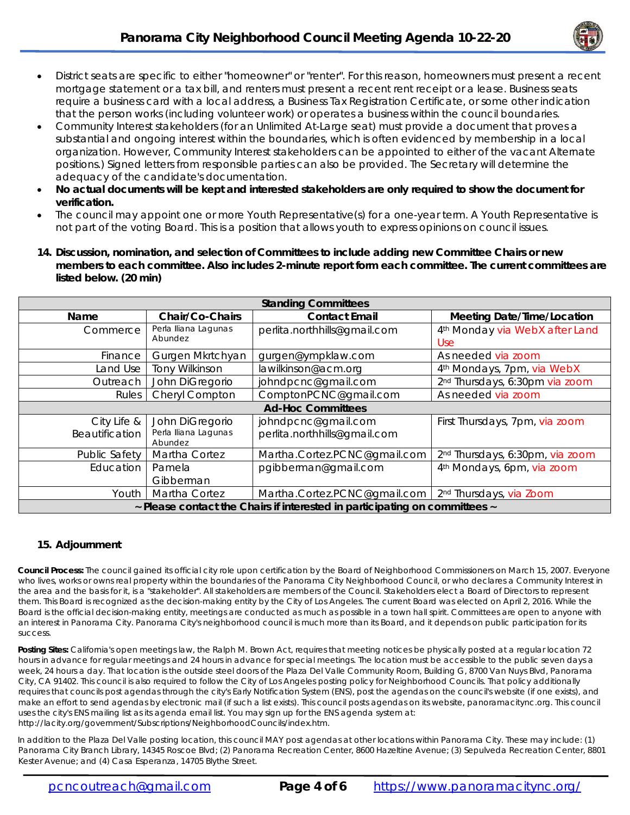

- District seats are specific to either "homeowner" or "renter". For this reason, homeowners must present a recent mortgage statement or a tax bill, and renters must present a recent rent receipt or a lease. Business seats require a business card with a local address, a Business Tax Registration Certificate, or some other indication that the person works (including volunteer work) or operates a business within the council boundaries.
- Community Interest stakeholders (for an Unlimited At-Large seat) must provide a document that proves a substantial and ongoing interest within the boundaries, which is often evidenced by membership in a local organization. However, Community Interest stakeholders can be appointed to either of the vacant Alternate positions.) Signed letters from responsible parties can also be provided. The Secretary will determine the adequacy of the candidate's documentation.
- **No actual documents will be kept and interested stakeholders are only required to show the document for verification.**
- The council may appoint one or more Youth Representative(s) for a one-year term. A Youth Representative is not part of the voting Board. This is a position that allows youth to express opinions on council issues.
- **14. Discussion, nomination, and selection of Committees to include adding new Committee Chairs or new members to each committee. Also includes 2-minute report form each committee. The current committees are listed below. (20 min)**

| <b>Standing Committees</b>                                                 |                       |                              |                                             |
|----------------------------------------------------------------------------|-----------------------|------------------------------|---------------------------------------------|
| Name                                                                       | Chair/Co-Chairs       | <b>Contact Email</b>         | <b>Meeting Date/Time/Location</b>           |
| Commerce                                                                   | Perla Iliana Lagunas  | perlita.northhills@gmail.com | 4 <sup>th</sup> Monday via WebX after Land  |
|                                                                            | Abundez               |                              | Use                                         |
| Finance                                                                    | Gurgen Mkrtchyan      | gurgen@ympklaw.com           | As needed via zoom                          |
| Land Use                                                                   | <b>Tony Wilkinson</b> | lawilkinson@acm.org          | 4 <sup>th</sup> Mondays, 7pm, via WebX      |
| Outreach                                                                   | John DiGregorio       | johndpcnc@gmail.com          | 2 <sup>nd</sup> Thursdays, 6:30pm via zoom  |
| Rules                                                                      | Cheryl Compton        | ComptonPCNC@gmail.com        | As needed via zoom                          |
| <b>Ad-Hoc Committees</b>                                                   |                       |                              |                                             |
| City Life &                                                                | John DiGregorio       | johndpcnc@gmail.com          | First Thursdays, 7pm, via zoom              |
| <b>Beautification</b>                                                      | Perla Iliana Lagunas  | perlita.northhills@gmail.com |                                             |
|                                                                            | Abundez               |                              |                                             |
| Public Safety                                                              | Martha Cortez         | Martha.Cortez.PCNC@gmail.com | 2 <sup>nd</sup> Thursdays, 6:30pm, via zoom |
| Education                                                                  | Pamela                | pgibberman@gmail.com         | 4 <sup>th</sup> Mondays, 6pm, via zoom      |
|                                                                            | Gibberman             |                              |                                             |
| Youth                                                                      | Martha Cortez         | Martha.Cortez.PCNC@gmail.com | 2 <sup>nd</sup> Thursdays, via Zoom         |
| ~ Please contact the Chairs if interested in participating on committees ~ |                       |                              |                                             |

#### **15. Adjournment**

**Council Process:** The council gained its official city role upon certification by the Board of Neighborhood Commissioners on March 15, 2007. Everyone who lives, works or owns real property within the boundaries of the Panorama City Neighborhood Council, or who declares a Community Interest in the area and the basis for it, is a "stakeholder". All stakeholders are members of the Council. Stakeholders elect a Board of Directors to represent them. This Board is recognized as the decision-making entity by the City of Los Angeles. The current Board was elected on April 2, 2016. While the Board is the official decision-making entity, meetings are conducted as much as possible in a town hall spirit. Committees are open to anyone with an interest in Panorama City. Panorama City's neighborhood council is much more than its Board, and it depends on public participation for its success.

**Posting Sites:** California's open meetings law, the Ralph M. Brown Act, requires that meeting notices be physically posted at a regular location 72 hours in advance for regular meetings and 24 hours in advance for special meetings. The location must be accessible to the public seven days a week, 24 hours a day. That location is the outside steel doors of the Plaza Del Valle Community Room, Building G, 8700 Van Nuys Blvd, Panorama City, CA 91402. This council is also required to follow the City of Los Angeles posting policy for Neighborhood Councils. That policy additionally requires that councils post agendas through the city's Early Notification System (ENS), post the agendas on the council's website (if one exists), and make an effort to send agendas by electronic mail (if such a list exists). This council posts agendas on its website, panoramacitync.org. This council uses the city's ENS mailing list as its agenda email list. You may sign up for the ENS agenda system at: http://lacity.org/government/Subscriptions/NeighborhoodCouncils/index.htm.

In addition to the Plaza Del Valle posting location, this council MAY post agendas at other locations within Panorama City. These may include: (1) Panorama City Branch Library, 14345 Roscoe Blvd; (2) Panorama Recreation Center, 8600 Hazeltine Avenue; (3) Sepulveda Recreation Center, 8801 Kester Avenue; and (4) Casa Esperanza, 14705 Blythe Street.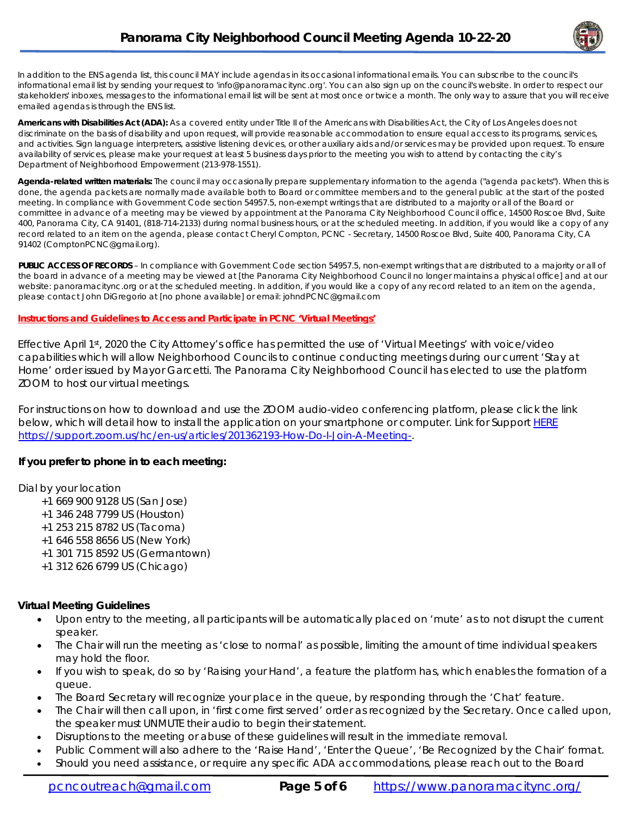

In addition to the ENS agenda list, this council MAY include agendas in its occasional informational emails. You can subscribe to the council's informational email list by sending your request to 'info@panoramacitync.org'. You can also sign up on the council's website. In order to respect our stakeholders' inboxes, messages to the informational email list will be sent at most once or twice a month. *The only way to assure that you will receive emailed agendas is through the ENS list.* 

**Americans with Disabilities Act (ADA):** As a covered entity under Title II of the Americans with Disabilities Act, the City of Los Angeles does not discriminate on the basis of disability and upon request, will provide reasonable accommodation to ensure equal access to its programs, services, and activities. Sign language interpreters, assistive listening devices, or other auxiliary aids and/or services may be provided upon request. To ensure availability of services, please make your request at least 5 business days prior to the meeting you wish to attend by contacting the city's Department of Neighborhood Empowerment (213-978-1551).

**Agenda-related written materials:** The council may occasionally prepare supplementary information to the agenda ("agenda packets"). When this is done, the agenda packets are normally made available both to Board or committee members and to the general public at the start of the posted meeting. In compliance with Government Code section 54957.5, non-exempt writings that are distributed to a majority or all of the Board or committee *in advance of a meeting* may be viewed by appointment at the Panorama City Neighborhood Council office, 14500 Roscoe Blvd, Suite 400, Panorama City, CA 91401, (818-714-2133) during normal business hours, or at the scheduled meeting. In addition, if you would like a copy of any record related to an item on the agenda, please contact Cheryl Compton, PCNC - Secretary, 14500 Roscoe Blvd, Suite 400, Panorama City, CA 91402 (ComptonPCNC@gmail.org).

**PUBLIC ACCESS OF RECORDS** – In compliance with Government Code section 54957.5, non-exempt writings that are distributed to a majority or all of the board in advance of a meeting may be viewed at [the Panorama City Neighborhood Council no longer maintains a physical office] and at our website: panoramacitync.org or at the scheduled meeting. In addition, if you would like a copy of any record related to an item on the agenda, please contact John DiGregorio at [no phone available] or email: johndPCNC@gmail.com

#### **Instructions and Guidelines to Access and Participate in PCNC 'Virtual Meetings'**

Effective April 1st, 2020 the City Attorney's office has permitted the use of 'Virtual Meetings' with voice/video capabilities which will allow Neighborhood Councils to continue conducting meetings during our current 'Stay at Home' order issued by Mayor Garcetti. The Panorama City Neighborhood Council has elected to use the platform ZOOM to host our virtual meetings.

For instructions on how to download and use the ZOOM audio-video conferencing platform, please click the link below, which will detail how to install the application on your smartphone or computer. Link for Support HERE https://support.zoom.us/hc/en-us/articles/201362193-How-Do-I-Join-A-Meeting-.

#### **If you prefer to phone in to each meeting:**

#### Dial by your location

- +1 669 900 9128 US (San Jose)
- +1 346 248 7799 US (Houston)
- +1 253 215 8782 US (Tacoma)
- +1 646 558 8656 US (New York)
- +1 301 715 8592 US (Germantown)
- +1 312 626 6799 US (Chicago)

#### **Virtual Meeting Guidelines**

- Upon entry to the meeting, all participants will be automatically placed on 'mute' as to not disrupt the current speaker.
- The Chair will run the meeting as 'close to normal' as possible, limiting the amount of time individual speakers may hold the floor.
- If you wish to speak, do so by 'Raising your Hand', a feature the platform has, which enables the formation of a queue.
- The Board Secretary will recognize your place in the queue, by responding through the 'Chat' feature.
- The Chair will then call upon, in 'first come first served' order as recognized by the Secretary. Once called upon, the speaker must UNMUTE their audio to begin their statement.
- Disruptions to the meeting or abuse of these guidelines will result in the immediate removal.
- Public Comment will also adhere to the 'Raise Hand', 'Enter the Queue', 'Be Recognized by the Chair' format.
- Should you need assistance, or require any specific ADA accommodations, please reach out to the Board